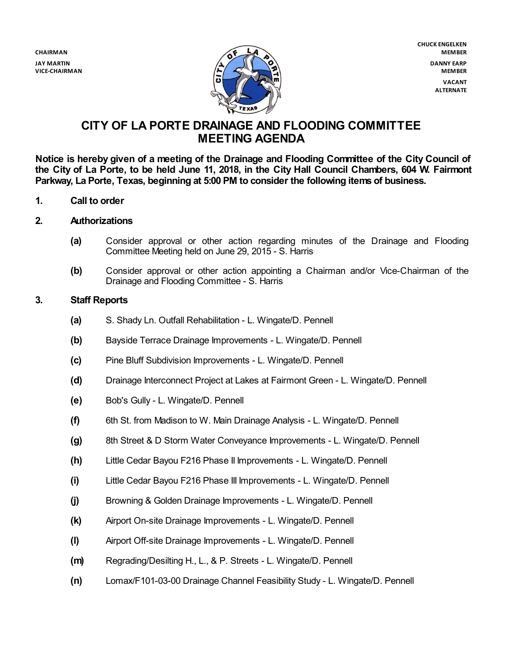**CHAIRMAN JAY MARTIN VICE-CHAIRMAN**



**CHUCK ENGELKEN MEMBER DANNY EARP MEMBER VACANT ALTERNATE**

# **CITY OF LA PORTE DRAINAGE AND FLOODING COMMITTEE MEETING AGENDA**

**Notice is hereby given of a meeting of the Drainage and Flooding Committee of the City Council of** the City of La Porte, to be held June 11, 2018, in the City Hall Council Chambers, 604 W. Fairmont **Parkway, La Porte, Texas, beginning at 5:00 PM to consider the following items of business.**

- **1. Call to order**
- **2. Authorizations**
	- **(a)** Consider approval or other action regarding minutes of the Drainage and Flooding Committee Meeting held on June 29, 2015 - S. Harris
	- **(b)** Consider approval or other action appointing a Chairman and/or Vice-Chairman of the Drainage and Flooding Committee - S. Harris

## **3. Staff Reports**

- **(a)** S. Shady Ln. Outfall Rehabilitation L. Wingate/D. Pennell
- **(b)** Bayside Terrace Drainage Improvements L. Wingate/D. Pennell
- **(c)** Pine Bluff Subdivision Improvements L. Wingate/D. Pennell
- **(d)** Drainage Interconnect Project at Lakes at Fairmont Green L. Wingate/D. Pennell
- **(e)** Bob's Gully L. Wingate/D. Pennell
- **(f)** 6th St. from Madison to W. Main Drainage Analysis L. Wingate/D. Pennell
- **(g)** 8th Street & D Storm Water Conveyance Improvements L. Wingate/D. Pennell
- **(h)** Little Cedar Bayou F216 Phase II Improvements L. Wingate/D. Pennell
- **(i)** Little Cedar Bayou F216 Phase III Improvements L. Wingate/D. Pennell
- **(j)** Browning & Golden Drainage Improvements L. Wingate/D. Pennell
- **(k)** Airport On-site Drainage Improvements L. Wingate/D. Pennell
- **(l)** Airport Off-site Drainage Improvements L. Wingate/D. Pennell
- **(m)** Regrading/Desilting H., L., & P. Streets L. Wingate/D. Pennell
- **(n)** Lomax/F101-03-00 Drainage Channel Feasibility Study L. Wingate/D. Pennell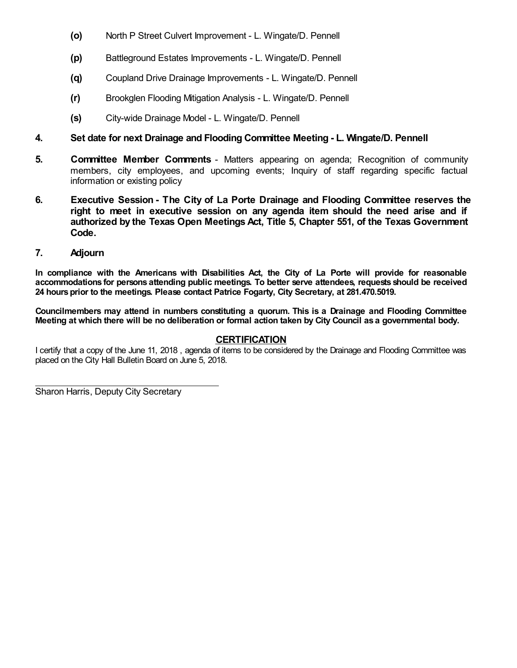- **(o)** North P Street Culvert Improvement L. Wingate/D. Pennell
- **(p)** Battleground Estates Improvements L. Wingate/D. Pennell
- **(q)** Coupland Drive Drainage Improvements L. Wingate/D. Pennell
- **(r)** Brookglen Flooding Mitigation Analysis L. Wingate/D. Pennell
- **(s)** City-wide Drainage Model L. Wingate/D. Pennell

# **4. Set date for next Drainage and Flooding Committee Meeting - L. Wingate/D. Pennell**

- **5. Committee Member Comments** Matters appearing on agenda; Recognition of community members, city employees, and upcoming events; Inquiry of staff regarding specific factual information or existing policy
- **6. Executive Session - The City of La Porte Drainage and Flooding Committee reserves the right to meet in executive session on any agenda item should the need arise and if authorized by the Texas Open Meetings Act, Title 5, Chapter 551, of the Texas Government Code.**

### **7. Adjourn**

**In compliance with the Americans with Disabilities Act, the City of La Porte will provide for reasonable accommodations for persons attending public meetings. To better serve attendees, requests should be received 24 hoursprior to the meetings. Please contact Patrice Fogarty, City Secretary, at 281.470.5019.**

**Councilmembers may attend in numbers constituting a quorum. This is a Drainage and Flooding Committee** Meeting at which there will be no deliberation or formal action taken by City Council as a governmental body.

### **CERTIFICATION**

I certify that a copy of the June 11, 2018 , agenda of items to be considered by the Drainage and Flooding Committee was placed on the City Hall Bulletin Board on June 5, 2018.

Sharon Harris, Deputy City Secretary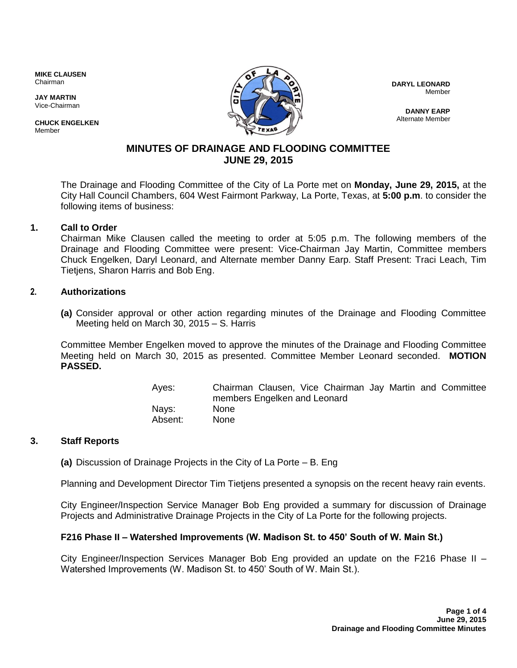**MIKE CLAUSEN** Chairman

**JAY MARTIN** Vice-Chairman

**CHUCK ENGELKEN Mamhar** 



**DARYL LEONARD**  Member

**DANNY EARP** Alternate Member

# **MINUTES OF DRAINAGE AND FLOODING COMMITTEE JUNE 29, 2015**

The Drainage and Flooding Committee of the City of La Porte met on **Monday, June 29, 2015,** at the City Hall Council Chambers, 604 West Fairmont Parkway, La Porte, Texas, at **5:00 p.m**. to consider the following items of business:

## **1. Call to Order**

Chairman Mike Clausen called the meeting to order at 5:05 p.m. The following members of the Drainage and Flooding Committee were present: Vice-Chairman Jay Martin, Committee members Chuck Engelken, Daryl Leonard, and Alternate member Danny Earp. Staff Present: Traci Leach, Tim Tietjens, Sharon Harris and Bob Eng.

# **2. Authorizations**

**(a)** Consider approval or other action regarding minutes of the Drainage and Flooding Committee Meeting held on March 30, 2015 – S. Harris

Committee Member Engelken moved to approve the minutes of the Drainage and Flooding Committee Meeting held on March 30, 2015 as presented. Committee Member Leonard seconded. **MOTION PASSED.**

> Ayes: Chairman Clausen, Vice Chairman Jay Martin and Committee members Engelken and Leonard Nays: None Absent: None

## **3. Staff Reports**

**(a)** Discussion of Drainage Projects in the City of La Porte – B. Eng

Planning and Development Director Tim Tietjens presented a synopsis on the recent heavy rain events.

City Engineer/Inspection Service Manager Bob Eng provided a summary for discussion of Drainage Projects and Administrative Drainage Projects in the City of La Porte for the following projects.

## **F216 Phase II – Watershed Improvements (W. Madison St. to 450' South of W. Main St.)**

City Engineer/Inspection Services Manager Bob Eng provided an update on the F216 Phase II – Watershed Improvements (W. Madison St. to 450' South of W. Main St.).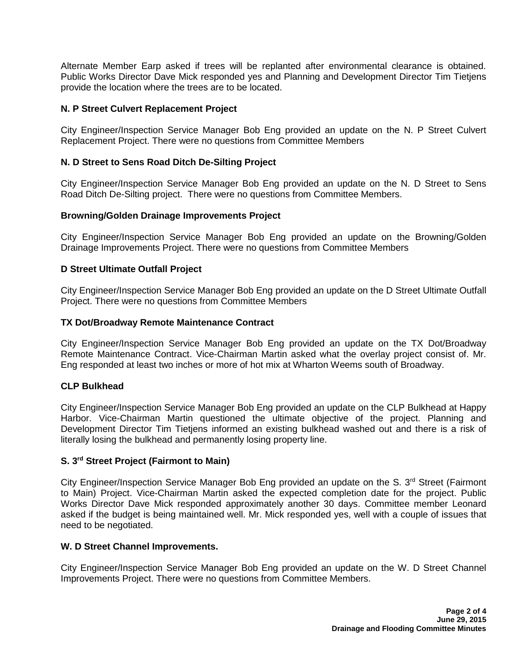Alternate Member Earp asked if trees will be replanted after environmental clearance is obtained. Public Works Director Dave Mick responded yes and Planning and Development Director Tim Tietjens provide the location where the trees are to be located.

### **N. P Street Culvert Replacement Project**

City Engineer/Inspection Service Manager Bob Eng provided an update on the N. P Street Culvert Replacement Project. There were no questions from Committee Members

### **N. D Street to Sens Road Ditch De-Silting Project**

City Engineer/Inspection Service Manager Bob Eng provided an update on the N. D Street to Sens Road Ditch De-Silting project. There were no questions from Committee Members.

#### **Browning/Golden Drainage Improvements Project**

City Engineer/Inspection Service Manager Bob Eng provided an update on the Browning/Golden Drainage Improvements Project. There were no questions from Committee Members

### **D Street Ultimate Outfall Project**

City Engineer/Inspection Service Manager Bob Eng provided an update on the D Street Ultimate Outfall Project. There were no questions from Committee Members

### **TX Dot/Broadway Remote Maintenance Contract**

City Engineer/Inspection Service Manager Bob Eng provided an update on the TX Dot/Broadway Remote Maintenance Contract. Vice-Chairman Martin asked what the overlay project consist of. Mr. Eng responded at least two inches or more of hot mix at Wharton Weems south of Broadway.

#### **CLP Bulkhead**

City Engineer/Inspection Service Manager Bob Eng provided an update on the CLP Bulkhead at Happy Harbor. Vice-Chairman Martin questioned the ultimate objective of the project. Planning and Development Director Tim Tietjens informed an existing bulkhead washed out and there is a risk of literally losing the bulkhead and permanently losing property line.

#### **S. 3rd Street Project (Fairmont to Main)**

City Engineer/Inspection Service Manager Bob Eng provided an update on the S. 3<sup>rd</sup> Street (Fairmont to Main) Project. Vice-Chairman Martin asked the expected completion date for the project. Public Works Director Dave Mick responded approximately another 30 days. Committee member Leonard asked if the budget is being maintained well. Mr. Mick responded yes, well with a couple of issues that need to be negotiated.

#### **W. D Street Channel Improvements.**

City Engineer/Inspection Service Manager Bob Eng provided an update on the W. D Street Channel Improvements Project. There were no questions from Committee Members.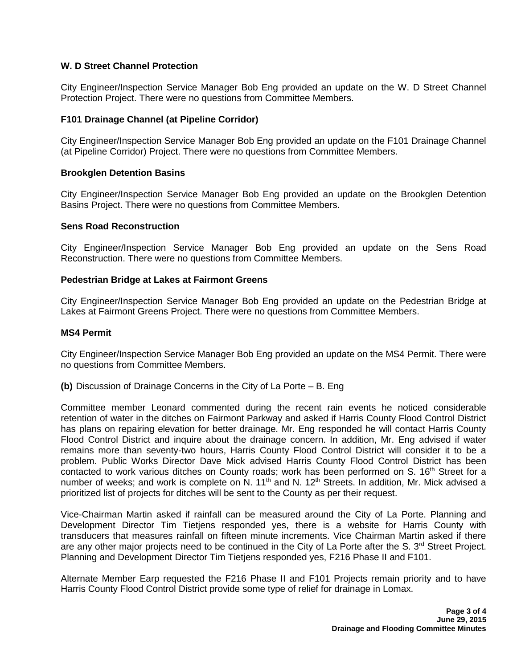### **W. D Street Channel Protection**

City Engineer/Inspection Service Manager Bob Eng provided an update on the W. D Street Channel Protection Project. There were no questions from Committee Members.

#### **F101 Drainage Channel (at Pipeline Corridor)**

City Engineer/Inspection Service Manager Bob Eng provided an update on the F101 Drainage Channel (at Pipeline Corridor) Project. There were no questions from Committee Members.

#### **Brookglen Detention Basins**

City Engineer/Inspection Service Manager Bob Eng provided an update on the Brookglen Detention Basins Project. There were no questions from Committee Members.

#### **Sens Road Reconstruction**

City Engineer/Inspection Service Manager Bob Eng provided an update on the Sens Road Reconstruction. There were no questions from Committee Members.

#### **Pedestrian Bridge at Lakes at Fairmont Greens**

City Engineer/Inspection Service Manager Bob Eng provided an update on the Pedestrian Bridge at Lakes at Fairmont Greens Project. There were no questions from Committee Members.

#### **MS4 Permit**

City Engineer/Inspection Service Manager Bob Eng provided an update on the MS4 Permit. There were no questions from Committee Members.

**(b)** Discussion of Drainage Concerns in the City of La Porte – B. Eng

Committee member Leonard commented during the recent rain events he noticed considerable retention of water in the ditches on Fairmont Parkway and asked if Harris County Flood Control District has plans on repairing elevation for better drainage. Mr. Eng responded he will contact Harris County Flood Control District and inquire about the drainage concern. In addition, Mr. Eng advised if water remains more than seventy-two hours, Harris County Flood Control District will consider it to be a problem. Public Works Director Dave Mick advised Harris County Flood Control District has been contacted to work various ditches on County roads; work has been performed on S. 16<sup>th</sup> Street for a number of weeks; and work is complete on N. 11<sup>th</sup> and N. 12<sup>th</sup> Streets. In addition, Mr. Mick advised a prioritized list of projects for ditches will be sent to the County as per their request.

Vice-Chairman Martin asked if rainfall can be measured around the City of La Porte. Planning and Development Director Tim Tietjens responded yes, there is a website for Harris County with transducers that measures rainfall on fifteen minute increments. Vice Chairman Martin asked if there are any other major projects need to be continued in the City of La Porte after the S. 3<sup>rd</sup> Street Project. Planning and Development Director Tim Tietjens responded yes, F216 Phase II and F101.

Alternate Member Earp requested the F216 Phase II and F101 Projects remain priority and to have Harris County Flood Control District provide some type of relief for drainage in Lomax.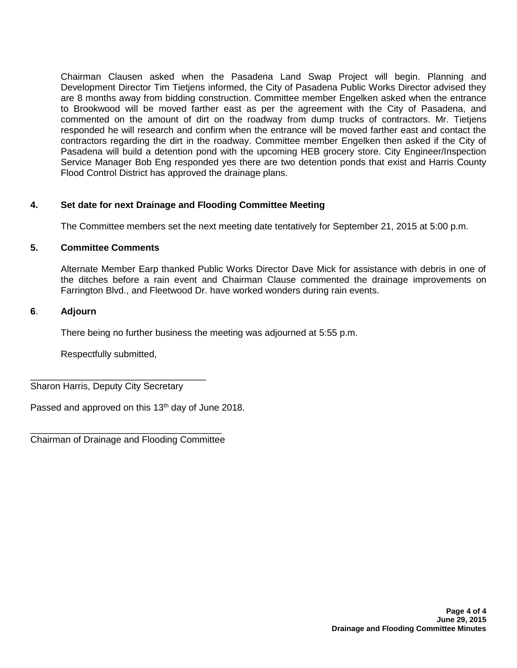Chairman Clausen asked when the Pasadena Land Swap Project will begin. Planning and Development Director Tim Tietjens informed, the City of Pasadena Public Works Director advised they are 8 months away from bidding construction. Committee member Engelken asked when the entrance to Brookwood will be moved farther east as per the agreement with the City of Pasadena, and commented on the amount of dirt on the roadway from dump trucks of contractors. Mr. Tietjens responded he will research and confirm when the entrance will be moved farther east and contact the contractors regarding the dirt in the roadway. Committee member Engelken then asked if the City of Pasadena will build a detention pond with the upcoming HEB grocery store. City Engineer/Inspection Service Manager Bob Eng responded yes there are two detention ponds that exist and Harris County Flood Control District has approved the drainage plans.

# **4. Set date for next Drainage and Flooding Committee Meeting**

The Committee members set the next meeting date tentatively for September 21, 2015 at 5:00 p.m.

### **5. Committee Comments**

Alternate Member Earp thanked Public Works Director Dave Mick for assistance with debris in one of the ditches before a rain event and Chairman Clause commented the drainage improvements on Farrington Blvd., and Fleetwood Dr. have worked wonders during rain events.

### **6**. **Adjourn**

There being no further business the meeting was adjourned at 5:55 p.m.

Respectfully submitted,

\_\_\_\_\_\_\_\_\_\_\_\_\_\_\_\_\_\_\_\_\_\_\_\_\_\_\_\_\_\_\_\_\_\_ Sharon Harris, Deputy City Secretary

Passed and approved on this 13<sup>th</sup> day of June 2018.

\_\_\_\_\_\_\_\_\_\_\_\_\_\_\_\_\_\_\_\_\_\_\_\_\_\_\_\_\_\_\_\_\_\_\_\_\_ Chairman of Drainage and Flooding Committee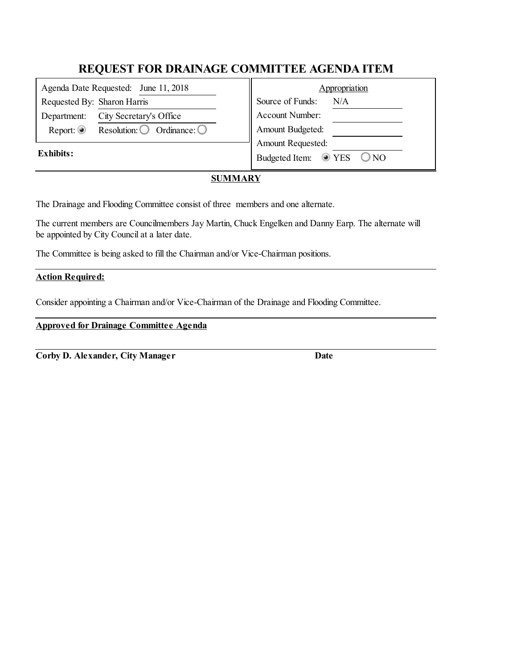| Agenda Date Requested: June 11, 2018 |                                              | Appropriation |                                      |
|--------------------------------------|----------------------------------------------|---------------|--------------------------------------|
| Requested By: Sharon Harris          |                                              |               | Source of Funds:<br>N/A              |
| Department:                          | City Secretary's Office                      |               | Account Number:                      |
| Report: $\circledcirc$               | Resolution: $\bigcirc$ Ordinance: $\bigcirc$ |               | Amount Budgeted:                     |
| <b>Exhibits:</b>                     |                                              |               | Amount Requested:                    |
|                                      |                                              |               | $\odot$ YES<br>Budgeted Item:<br>ONO |
|                                      |                                              |               |                                      |

## **SUMMARY**

The Drainage and Flooding Committee consist of three members and one alternate.

The current members are Councilmembers Jay Martin, Chuck Engelken and Danny Earp. The alternate will be appointed by City Councilat a later date.

The Committee is being asked to fill the Chairman and/or Vice-Chairman positions.

### **Action Required:**

Consider appointing a Chairman and/or Vice-Chairman of the Drainage and Flooding Committee.

**Approved for Drainage Committee Agenda**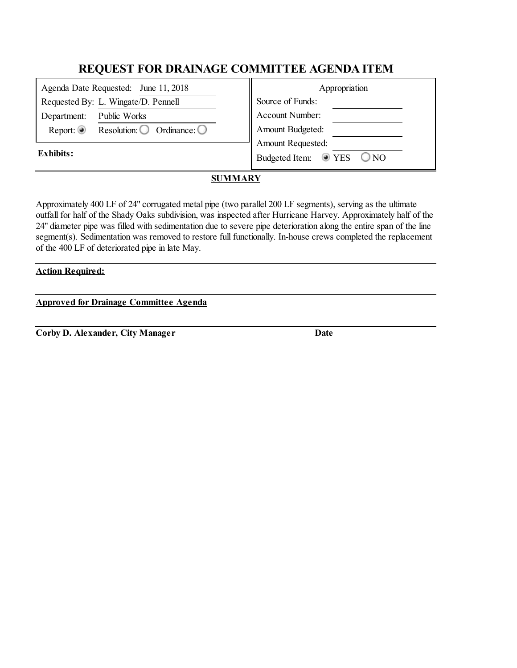| Appropriation                                    |
|--------------------------------------------------|
| Source of Funds:                                 |
| Account Number:                                  |
| Amount Budgeted:                                 |
| <b>Amount Requested:</b>                         |
| Budgeted Item: <sup>1</sup> YES<br>$\bigcirc$ NO |
|                                                  |

# **SUMMARY**

Approximately 400 LF of 24" corrugated metal pipe (two parallel 200 LF segments), serving as the ultimate outfall for half of the Shady Oaks subdivision, was inspected after Hurricane Harvey. Approximately half of the 24" diameter pipe was filled with sedimentation due to severe pipe deterioration along the entire span of the line segment(s). Sedimentation was removed to restore full functionally. In-house crews completed the replacement of the 400 LF of deteriorated pipe in late May.

### **Action Required:**

**Approved for Drainage Committee Agenda**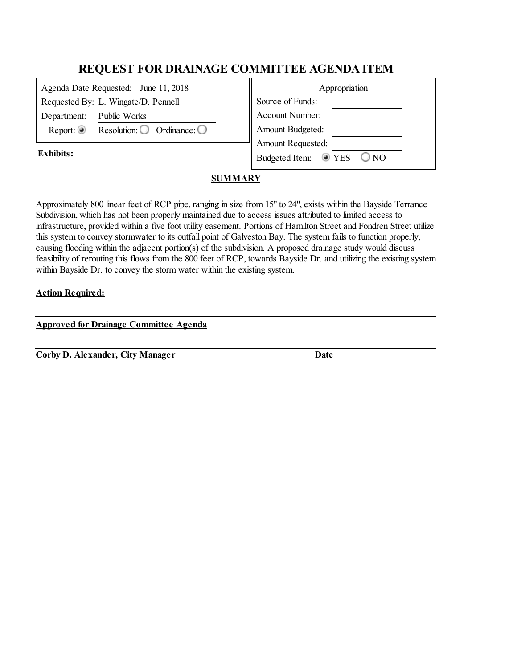| Agenda Date Requested: June 11, 2018                                   | Appropriation                        |
|------------------------------------------------------------------------|--------------------------------------|
| Requested By: L. Wingate/D. Pennell                                    | Source of Funds:                     |
| Public Works<br>Department:                                            | Account Number:                      |
| Report: $\circledcirc$<br>Resolution: $\bigcirc$ Ordinance: $\bigcirc$ | Amount Budgeted:                     |
|                                                                        | Amount Requested:                    |
| Exhibits:                                                              | $\odot$ YES<br>Budgeted Item:<br>ONO |

# **SUMMARY**

Approximately 800 linear feet of RCP pipe, ranging in size from 15" to 24", exists within the Bayside Terrance Subdivision, which has not been properly maintained due to access issues attributed to limited access to infrastructure, provided within a five foot utility easement. Portions of Hamilton Street and Fondren Street utilize this system to convey stormwater to its outfall point of Galveston Bay. The system fails to function properly, causing flooding within the adjacent portion(s) of the subdivision. A proposed drainage study would discuss feasibility of rerouting this flows from the 800 feet of RCP, towards Bayside Dr. and utilizing the existing system within Bayside Dr. to convey the storm water within the existing system.

## **Action Required:**

**Approved for Drainage Committee Agenda**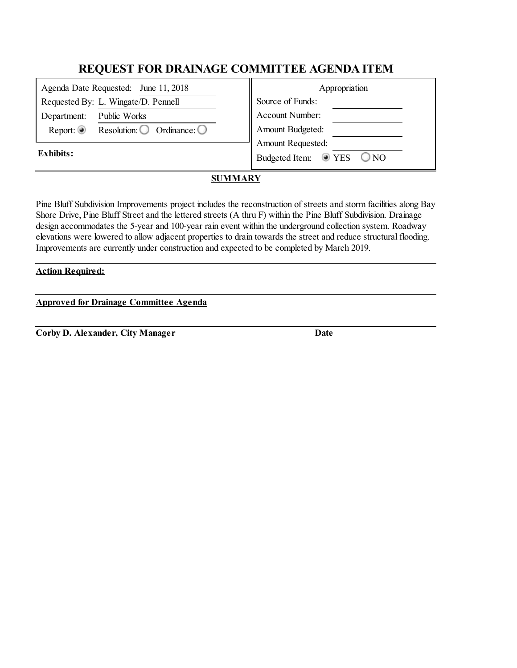| Appropriation                                    |
|--------------------------------------------------|
| Source of Funds:                                 |
| Account Number:                                  |
| Amount Budgeted:                                 |
| <b>Amount Requested:</b>                         |
| Budgeted Item: <sup>1</sup> YES<br>$\bigcirc$ NO |
|                                                  |

# **SUMMARY**

Pine Bluff Subdivision Improvements project includes the reconstruction of streets and storm facilities along Bay Shore Drive, Pine Bluff Street and the lettered streets (A thru F) within the Pine Bluff Subdivision. Drainage design accommodates the 5-year and 100-year rain event within the underground collection system. Roadway elevations were lowered to allow adjacent properties to drain towards the street and reduce structural flooding. Improvements are currently under construction and expected to be completed by March 2019.

### **Action Required:**

**Approved for Drainage Committee Agenda**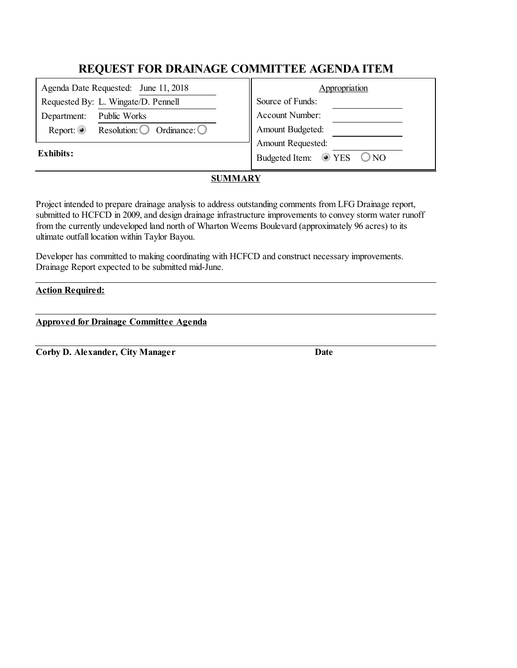| Agenda Date Requested: June 11, 2018                                      | Appropriation                                    |
|---------------------------------------------------------------------------|--------------------------------------------------|
| Requested By: L. Wingate/D. Pennell                                       | Source of Funds:                                 |
| Public Works<br>Department:                                               | Account Number:                                  |
| Report: $\circledcirc$<br>Resolution: $\bigcirc$<br>Ordinance: $\bigcirc$ | Amount Budgeted:                                 |
|                                                                           | Amount Requested:                                |
| Exhibits:                                                                 | Budgeted Item: <sup>T</sup> YES<br>$\bigcirc$ NO |

# **SUMMARY**

Project intended to prepare drainage analysis to address outstanding comments from LFG Drainage report, submitted to HCFCD in 2009, and design drainage infrastructure improvements to convey storm water runoff from the currently undeveloped land north of Wharton Weems Boulevard (approximately 96 acres) to its ultimate outfall location within Taylor Bayou.

Developer has committed to making coordinating with HCFCD and construct necessary improvements. Drainage Report expected to be submitted mid-June.

## **Action Required:**

**Approved for Drainage Committee Agenda**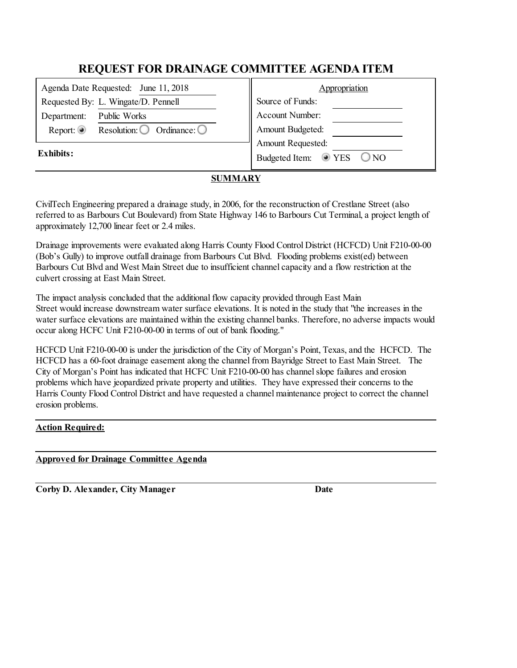| Agenda Date Requested: June 11, 2018                                   | Appropriation                                                       |
|------------------------------------------------------------------------|---------------------------------------------------------------------|
| Requested By: L. Wingate/D. Pennell                                    | Source of Funds:                                                    |
| Public Works<br>Department:                                            | Account Number:                                                     |
| Report: $\circledcirc$<br>Resolution: $\bigcirc$ Ordinance: $\bigcirc$ | Amount Budgeted:                                                    |
| <b>Exhibits:</b>                                                       | Amount Requested:<br>Budgeted Item:<br>$\odot$ YES<br>$\bigcirc$ NO |

# **SUMMARY**

CivilTech Engineering prepared a drainage study, in 2006, for the reconstruction of Crestlane Street (also referred to as Barbours Cut Boulevard) from State Highway 146 to Barbours Cut Terminal, a project length of approximately 12,700 linear feet or 2.4 miles.

Drainage improvements were evaluated along Harris County Flood Control District (HCFCD) Unit F210-00-00 (Bob's Gully) to improve outfall drainage from Barbours Cut Blvd. Flooding problems exist(ed) between Barbours Cut Blvd and West Main Street due to insufficient channel capacity and a flow restriction at the culvert crossing at East Main Street.

The impact analysis concluded that the additional flow capacity provided through East Main Street would increase downstream water surface elevations. It is noted in the study that "the increases in the water surface elevations are maintained within the existing channel banks. Therefore, no adverse impacts would occur along HCFC Unit F210-00-00 in terms of out of bank flooding."

HCFCD Unit F210-00-00 is under the jurisdiction of the City of Morgan's Point, Texas, and the HCFCD. The HCFCD has a 60-foot drainage easement along the channel from Bayridge Street to East Main Street. The City of Morgan's Point has indicated that HCFC Unit F210-00-00 has channelslope failures and erosion problems which have jeopardized private property and utilities. They have expressed their concerns to the Harris County Flood Control District and have requested a channel maintenance project to correct the channel erosion problems.

# **Action Required:**

## **Approved for Drainage Committee Agenda**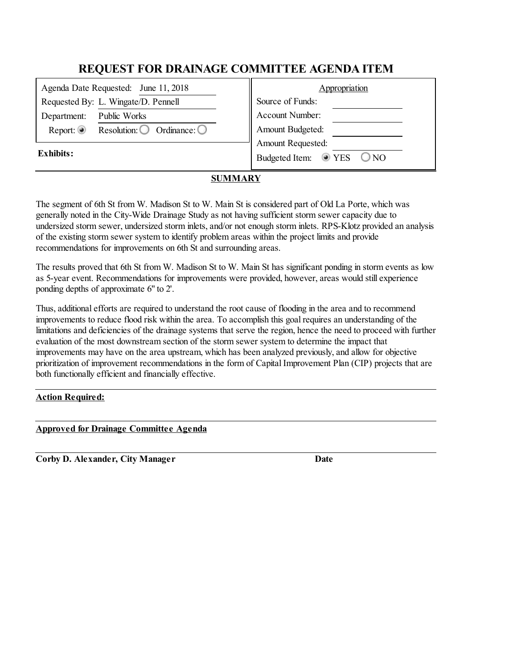| Agenda Date Requested: June 11, 2018 |                                                 | Appropriation |                                                |
|--------------------------------------|-------------------------------------------------|---------------|------------------------------------------------|
| Requested By: L. Wingate/D. Pennell  |                                                 |               | Source of Funds:                               |
| Department:                          | Public Works                                    |               | Account Number:                                |
| Report: $\circledcirc$               | Resolution: $\bigcirc$<br>Ordinance: $\bigcirc$ |               | Amount Budgeted:                               |
| Exhibits:                            |                                                 |               | Amount Requested:                              |
|                                      |                                                 |               | $\odot$ YES<br>Budgeted Item:<br>$\bigcirc$ NO |
|                                      |                                                 |               |                                                |

# **SUMMARY**

The segment of 6th St from W. Madison St to W. Main St is considered part of Old La Porte, which was generally noted in the City-Wide Drainage Study as not having sufficient storm sewer capacity due to undersized storm sewer, undersized storm inlets, and/or not enough storm inlets. RPS-Klotz provided an analysis of the existing storm sewer system to identify problem areas within the project limits and provide recommendations for improvements on 6th St and surrounding areas.

The results proved that 6th St from W. Madison St to W. Main St has significant ponding in storm events as low as 5-year event. Recommendations for improvements were provided, however, areas would still experience ponding depths of approximate 6" to 2'.

Thus, additional efforts are required to understand the root cause of flooding in the area and to recommend improvements to reduce flood risk within the area. To accomplish this goal requires an understanding of the limitations and deficiencies of the drainage systems that serve the region, hence the need to proceed with further evaluation of the most downstream section of the storm sewer system to determine the impact that improvements may have on the area upstream, which has been analyzed previously, and allow for objective prioritization of improvement recommendations in the form of Capital Improvement Plan (CIP) projects that are both functionally efficient and financially effective.

## **Action Required:**

#### **Approved for Drainage Committee Agenda**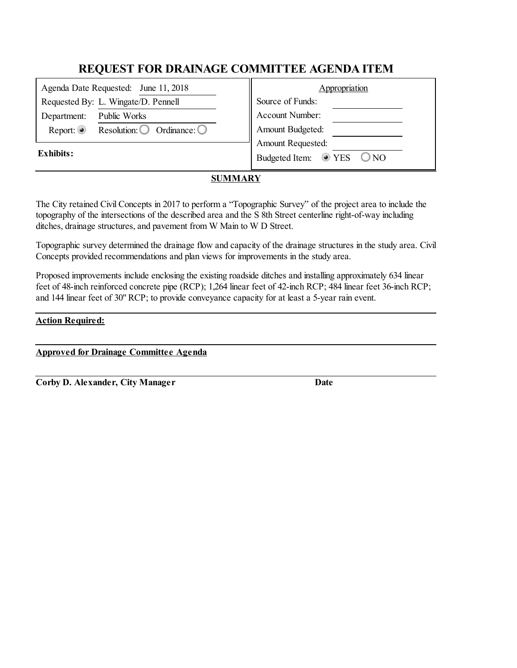| Agenda Date Requested: June 11, 2018                            | Appropriation                                  |
|-----------------------------------------------------------------|------------------------------------------------|
| Requested By: L. Wingate/D. Pennell                             | Source of Funds:                               |
| Public Works<br>Department:                                     | Account Number:                                |
| Report: $\odot$<br>Resolution: $\bigcirc$ Ordinance: $\bigcirc$ | Amount Budgeted:                               |
|                                                                 | Amount Requested:                              |
| <b>Exhibits:</b>                                                | Budgeted Item:<br>$\odot$ YES<br>$\bigcirc$ NO |

## **SUMMARY**

The City retained Civil Concepts in 2017 to perform a "Topographic Survey" of the project area to include the topography of the intersections of the described area and the S 8th Street centerline right-of-way including ditches, drainage structures, and pavement from W Main to W D Street.

Topographic survey determined the drainage flow and capacity of the drainage structures in the study area. Civil Concepts provided recommendations and plan views for improvements in the study area.

Proposed improvements include enclosing the existing roadside ditches and installing approximately 634 linear feet of 48-inch reinforced concrete pipe (RCP); 1,264 linear feet of 42-inch RCP; 484 linear feet 36-inch RCP; and 144 linear feet of 30" RCP; to provide conveyance capacity for at least a 5-year rain event.

### **Action Required:**

**Approved for Drainage Committee Agenda**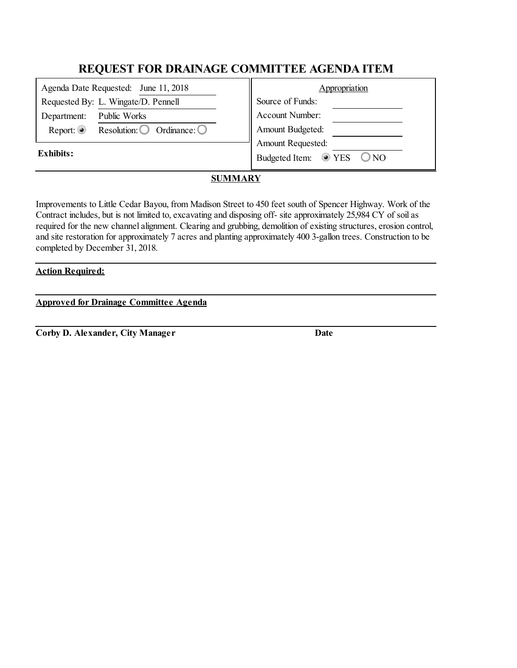| Appropriation                                    |
|--------------------------------------------------|
| Source of Funds:                                 |
| Account Number:                                  |
| Amount Budgeted:                                 |
| <b>Amount Requested:</b>                         |
| Budgeted Item: <sup>1</sup> YES<br>$\bigcirc$ NO |
|                                                  |

# **SUMMARY**

Improvements to Little Cedar Bayou, from Madison Street to 450 feet south of Spencer Highway. Work of the Contract includes, but is not limited to, excavating and disposing off- site approximately 25,984 CY of soil as required for the new channel alignment. Clearing and grubbing, demolition of existing structures, erosion control, and site restoration for approximately 7 acres and planting approximately 400 3-gallon trees. Construction to be completed by December 31, 2018.

#### **Action Required:**

**Approved for Drainage Committee Agenda**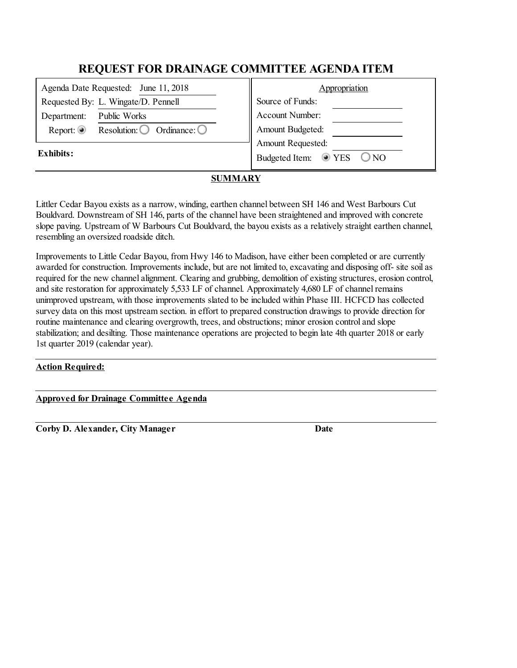| Agenda Date Requested: June 11, 2018 |                                                 | Appropriation                                  |
|--------------------------------------|-------------------------------------------------|------------------------------------------------|
| Requested By: L. Wingate/D. Pennell  |                                                 | Source of Funds:                               |
| Department:                          | Public Works                                    | Account Number:                                |
| Report: $\circledcirc$               | Resolution: $\bigcirc$<br>Ordinance: $\bigcirc$ | Amount Budgeted:                               |
| Exhibits:                            |                                                 | Amount Requested:                              |
|                                      |                                                 | $\odot$ YES<br>$\bigcirc$ NO<br>Budgeted Item: |
|                                      |                                                 |                                                |

## **SUMMARY**

Littler Cedar Bayou exists as a narrow, winding, earthen channel between SH 146 and West Barbours Cut Bouldvard. Downstream of SH 146, parts of the channel have been straightened and improved with concrete slope paving. Upstream of W Barbours Cut Bouldvard, the bayou exists as a relatively straight earthen channel, resembling an oversized roadside ditch.

Improvements to Little Cedar Bayou, from Hwy 146 to Madison, have either been completed or are currently awarded for construction. Improvements include, but are not limited to, excavating and disposing off- site soil as required for the new channel alignment. Clearing and grubbing, demolition of existing structures, erosion control, and site restoration for approximately 5,533 LF of channel. Approximately 4,680 LF of channel remains unimproved upstream, with those improvements slated to be included within Phase III. HCFCD has collected survey data on this most upstream section. in effort to prepared construction drawings to provide direction for routine maintenance and clearing overgrowth, trees, and obstructions; minor erosion control and slope stabilization; and desilting. Those maintenance operations are projected to begin late 4th quarter 2018 or early 1st quarter 2019 (calendar year).

## **Action Required:**

#### **Approved for Drainage Committee Agenda**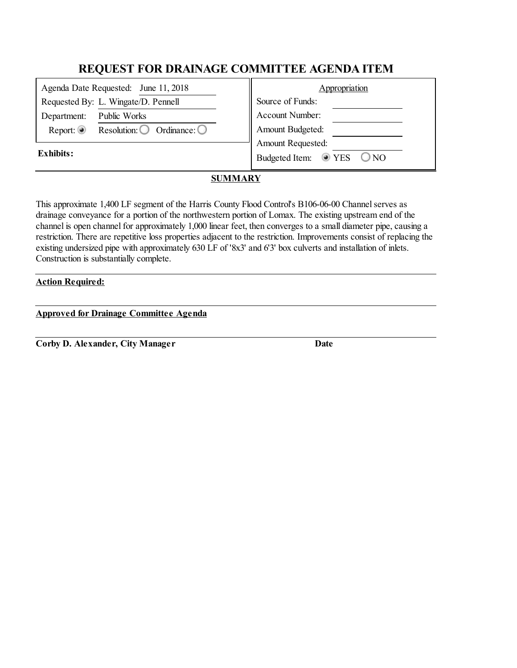| Agenda Date Requested: June 11, 2018 |                                                 | Appropriation                                  |
|--------------------------------------|-------------------------------------------------|------------------------------------------------|
| Requested By: L. Wingate/D. Pennell  |                                                 | Source of Funds:                               |
| Department:                          | Public Works                                    | Account Number:                                |
| Report: $\circledcirc$               | Resolution: $\bigcirc$<br>Ordinance: $\bigcirc$ | Amount Budgeted:                               |
| Exhibits:                            |                                                 | Amount Requested:                              |
|                                      |                                                 | $\odot$ YES<br>$\bigcirc$ NO<br>Budgeted Item: |
|                                      |                                                 |                                                |

# **SUMMARY**

This approximate 1,400 LF segment of the Harris County Flood Control's B106-06-00 Channelserves as drainage conveyance for a portion of the northwestern portion of Lomax. The existing upstream end of the channel is open channel for approximately 1,000 linear feet, then converges to a small diameter pipe, causing a restriction. There are repetitive loss properties adjacent to the restriction. Improvements consist of replacing the existing undersized pipe with approximately 630 LF of '8x3' and 6'3' box culverts and installation of inlets. Construction is substantially complete.

### **Action Required:**

**Approved for Drainage Committee Agenda**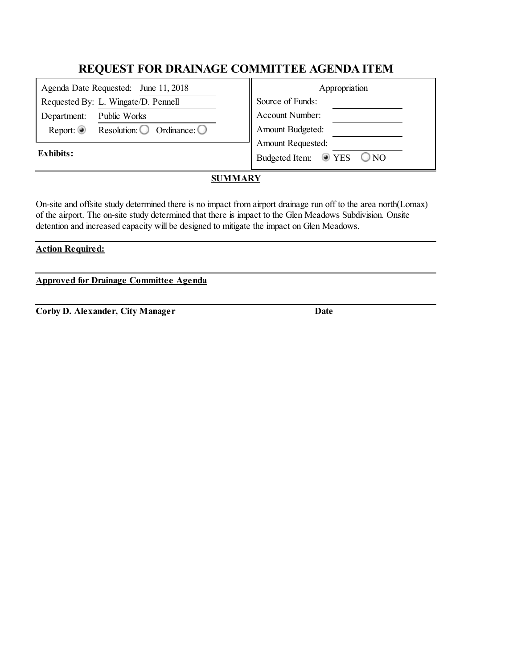| Agenda Date Requested: June 11, 2018                                   | Appropriation                                    |
|------------------------------------------------------------------------|--------------------------------------------------|
| Requested By: L. Wingate/D. Pennell                                    | Source of Funds:                                 |
| Public Works<br>Department:                                            | Account Number:                                  |
| Report: $\circledcirc$<br>Resolution: $\bigcirc$ Ordinance: $\bigcirc$ | Amount Budgeted:                                 |
|                                                                        | Amount Requested:                                |
| <b>Exhibits:</b>                                                       | Budgeted Item: <sup>1</sup> YES<br>$\bigcirc$ NO |
|                                                                        |                                                  |

# **SUMMARY**

On-site and offsite study determined there is no impact from airport drainage run off to the area north(Lomax) of the airport. The on-site study determined that there is impact to the Glen Meadows Subdivision. Onsite detention and increased capacity will be designed to mitigate the impact on Glen Meadows.

## **Action Required:**

**Approved for Drainage Committee Agenda**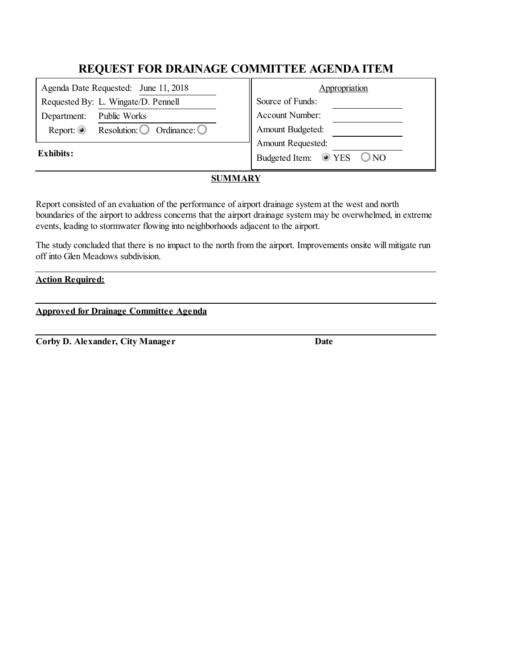| Appropriation                                  |  |
|------------------------------------------------|--|
| Source of Funds:                               |  |
| Account Number:                                |  |
| Amount Budgeted:                               |  |
| Amount Requested:                              |  |
| $\odot$ YES<br>Budgeted Item:<br>$\bigcirc$ NO |  |
|                                                |  |

## **SUMMARY**

Report consisted of an evaluation of the performance of airport drainage system at the west and north boundaries of the airport to address concerns that the airport drainage system may be overwhelmed, in extreme events, leading to stormwater flowing into neighborhoods adjacent to the airport.

The study concluded that there is no impact to the north from the airport. Improvements onsite will mitigate run off into Glen Meadows subdivision.

### **Action Required:**

|  | <b>Approved for Drainage Committee Agenda</b> |  |
|--|-----------------------------------------------|--|
|  |                                               |  |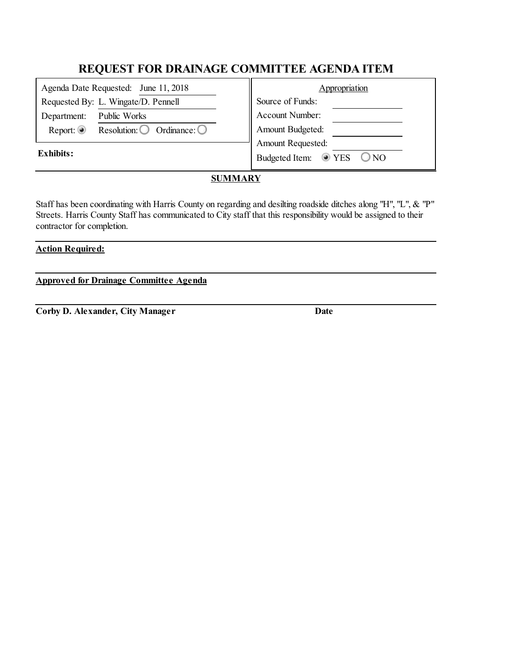| Agenda Date Requested: June 11, 2018                                   | Appropriation                                    |
|------------------------------------------------------------------------|--------------------------------------------------|
| Requested By: L. Wingate/D. Pennell                                    | Source of Funds:                                 |
| Public Works<br>Department:                                            | Account Number:                                  |
| Report: $\circledcirc$<br>Resolution: $\bigcirc$ Ordinance: $\bigcirc$ | Amount Budgeted:                                 |
|                                                                        | Amount Requested:                                |
| <b>Exhibits:</b>                                                       | Budgeted Item: <sup>1</sup> YES<br>$\bigcirc$ NO |

## **SUMMARY**

Staff has been coordinating with Harris County on regarding and desilting roadside ditches along "H", "L", & "P" Streets. Harris County Staff has communicated to City staff that this responsibility would be assigned to their contractor for completion.

## **Action Required:**

**Approved for Drainage Committee Agenda**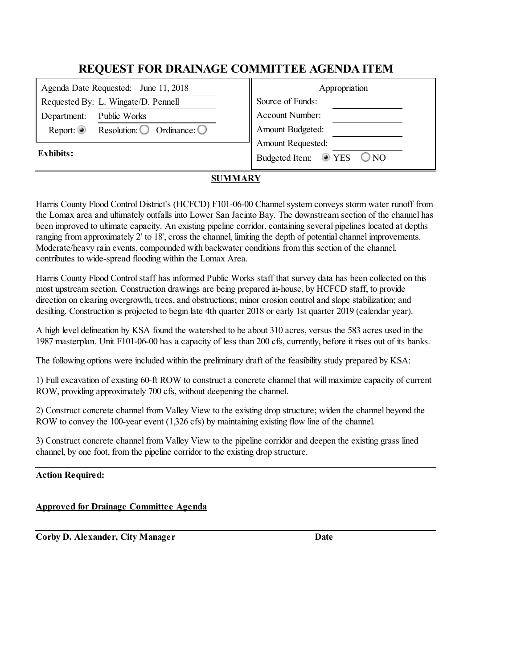| Agenda Date Requested: June 11, 2018 |                                                 | Appropriation                                         |  |
|--------------------------------------|-------------------------------------------------|-------------------------------------------------------|--|
|                                      | Requested By: L. Wingate/D. Pennell             | Source of Funds:                                      |  |
| Department:                          | Public Works                                    | Account Number:                                       |  |
| Report: $\odot$                      | Resolution: $\bigcirc$<br>Ordinance: $\bigcirc$ | Amount Budgeted:                                      |  |
| Exhibits:                            |                                                 | Amount Requested:                                     |  |
|                                      |                                                 | $\circledcirc$ YES<br>$\bigcirc$ NO<br>Budgeted Item: |  |
|                                      |                                                 |                                                       |  |

# **SUMMARY**

Harris County Flood Control District's (HCFCD) F101-06-00 Channel system conveys storm water runoff from the Lomax area and ultimately outfalls into Lower San Jacinto Bay. The downstream section of the channel has been improved to ultimate capacity. An existing pipeline corridor, containing several pipelines located at depths ranging from approximately 2' to 18', cross the channel, limiting the depth of potential channel improvements. Moderate/heavy rain events, compounded with backwater conditions from this section of the channel, contributes to wide-spread flooding within the Lomax Area.

Harris County Flood Control staff has informed Public Works staff that survey data has been collected on this most upstream section. Construction drawings are being prepared in-house, by HCFCD staff, to provide direction on clearing overgrowth, trees, and obstructions; minor erosion control and slope stabilization; and desilting. Construction is projected to begin late 4th quarter 2018 or early 1st quarter 2019 (calendar year).

A high level delineation by KSA found the watershed to be about 310 acres, versus the 583 acres used in the 1987 masterplan. Unit F101-06-00 has a capacity of less than 200 cfs,currently, before it rises out of its banks.

The following options were included within the preliminary draft of the feasibility study prepared by KSA:

1) Fullexcavation of existing 60-ft ROW to construct a concrete channel that willmaximize capacity of current ROW, providing approximately 700 cfs, without deepening the channel.

2) Construct concrete channel from Valley View to the existing drop structure; widen the channel beyond the ROW to convey the 100-year event (1,326 cfs) by maintaining existing flow line of the channel.

3) Construct concrete channel from Valley View to the pipeline corridor and deepen the existing grass lined channel, by one foot, from the pipeline corridor to the existing drop structure.

## **Action Required:**

**Approved for Drainage Committee Agenda**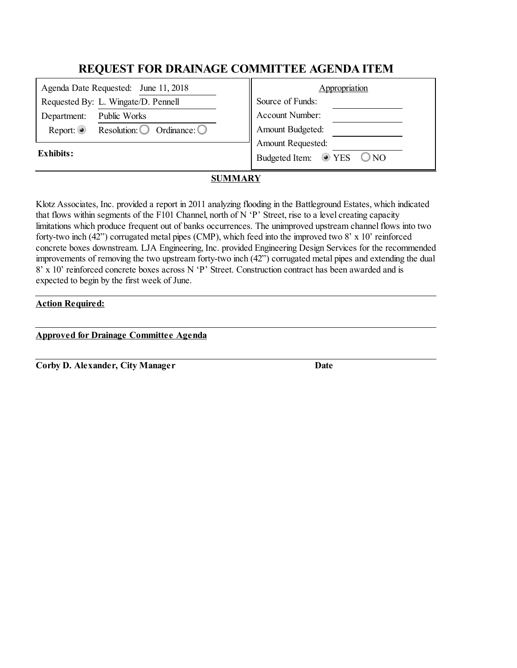| Appropriation                                  |  |
|------------------------------------------------|--|
| Source of Funds:                               |  |
| Account Number:                                |  |
| Amount Budgeted:                               |  |
| Amount Requested:                              |  |
| $\odot$ YES<br>Budgeted Item:<br>$\bigcirc$ NO |  |
|                                                |  |

## **SUMMARY**

Klotz Associates, Inc. provided a report in 2011 analyzing flooding in the Battleground Estates, which indicated that flows within segments of the F101 Channel, north of N  $\lq P$  Street, rise to a level creating capacity limitations which produce frequent out of banks occurrences. The unimproved upstream channel flows into two forty-two inch (42") corrugated metal pipes (CMP), which feed into the improved two 8' x 10' reinforced concrete boxes downstream. LJA Engineering, Inc. provided Engineering Design Services for the recommended improvements of removing the two upstream forty-two inch (42") corrugated metal pipes and extending the dual 8' x 10' reinforced concrete boxes across N 'P' Street. Construction contract has been awarded and is expected to begin by the first week of June.

### **Action Required:**

### **Approved for Drainage Committee Agenda**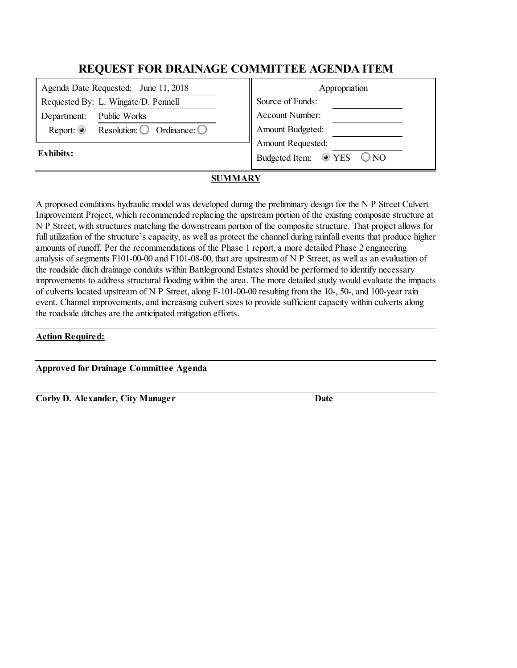| Appropriation                                         |  |
|-------------------------------------------------------|--|
| Source of Funds:                                      |  |
| Account Number:                                       |  |
| Amount Budgeted:                                      |  |
| Amount Requested:                                     |  |
| $\circledcirc$ YES<br>$\bigcirc$ NO<br>Budgeted Item: |  |
|                                                       |  |

## **SUMMARY**

A proposed conditions hydraulic model was developed during the preliminary design for the N P Street Culvert Improvement Project, which recommended replacing the upstream portion of the existing composite structure at N P Street, with structures matching the downstream portion of the composite structure. That project allows for full utilization of the structure's capacity, as well as protect the channel during rainfall events that produce higher amounts of runoff. Per the recommendations of the Phase 1 report, a more detailed Phase 2 engineering analysis of segments F101-00-00 and F101-08-00, that are upstream of N P Street, as well as an evaluation of the roadside ditch drainage conduits within Battleground Estates should be performed to identify necessary improvements to address structural flooding within the area. The more detailed study would evaluate the impacts of culverts located upstream of N P Street, along F-101-00-00 resulting from the 10-, 50-, and 100-year rain event. Channel improvements, and increasing culvert sizes to provide sufficient capacity within culverts along the roadside ditches are the anticipated mitigation efforts.

#### **Action Required:**

**Approved for Drainage Committee Agenda**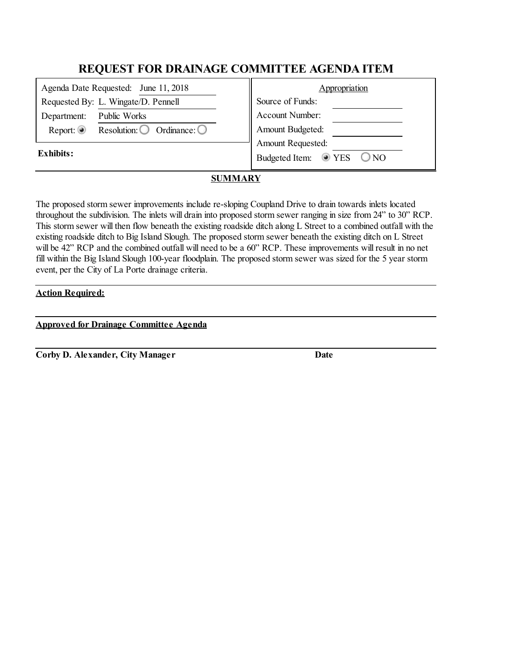| Agenda Date Requested: June 11, 2018 |                                                 | Appropriation                                  |  |
|--------------------------------------|-------------------------------------------------|------------------------------------------------|--|
| Requested By: L. Wingate/D. Pennell  |                                                 | Source of Funds:                               |  |
| Department:                          | Public Works                                    | Account Number:                                |  |
| Report: $\circledcirc$               | Resolution: $\bigcirc$<br>Ordinance: $\bigcirc$ | Amount Budgeted:                               |  |
| Exhibits:                            |                                                 | Amount Requested:                              |  |
|                                      |                                                 | $\odot$ YES<br>$\bigcirc$ NO<br>Budgeted Item: |  |
|                                      |                                                 |                                                |  |

# **SUMMARY**

The proposed storm sewer improvements include re-sloping Coupland Drive to drain towards inlets located throughout the subdivision. The inlets will drain into proposed storm sewer ranging in size from 24" to 30" RCP. This storm sewer will then flow beneath the existing roadside ditch along L Street to a combined outfall with the existing roadside ditch to Big Island Slough. The proposed storm sewer beneath the existing ditch on L Street will be 42" RCP and the combined outfall will need to be a 60" RCP. These improvements will result in no net fill within the Big Island Slough 100-year floodplain. The proposed storm sewer was sized for the 5 year storm event, per the City of La Porte drainage criteria.

## **Action Required:**

**Approved for Drainage Committee Agenda**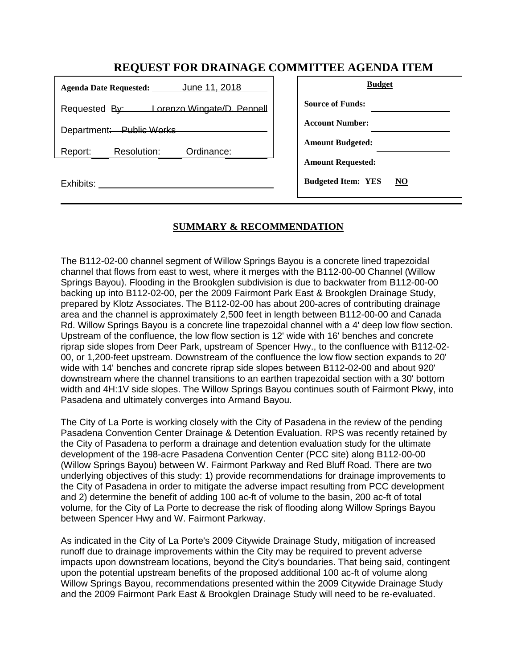|                                          | <b>Budget</b>                               |
|------------------------------------------|---------------------------------------------|
| Requested By: Lorenzo Wingate/D. Pennell | <b>Source of Funds:</b>                     |
| Department: Public Works                 | <b>Account Number:</b>                      |
| Resolution:<br>Ordinance:<br>Report:     | <b>Amount Budgeted:</b>                     |
|                                          | <b>Amount Requested:</b>                    |
| Exhibits:                                | <b>Budgeted Item: YES</b><br>N <sub>O</sub> |

# **SUMMARY & RECOMMENDATION**

The B112-02-00 channel segment of Willow Springs Bayou is a concrete lined trapezoidal channel that flows from east to west, where it merges with the B112-00-00 Channel (Willow Springs Bayou). Flooding in the Brookglen subdivision is due to backwater from B112-00-00 backing up into B112-02-00, per the 2009 Fairmont Park East & Brookglen Drainage Study, prepared by Klotz Associates. The B112-02-00 has about 200-acres of contributing drainage area and the channel is approximately 2,500 feet in length between B112-00-00 and Canada Rd. Willow Springs Bayou is a concrete line trapezoidal channel with a 4' deep low flow section. Upstream of the confluence, the low flow section is 12' wide with 16' benches and concrete riprap side slopes from Deer Park, upstream of Spencer Hwy., to the confluence with B112-02- 00, or 1,200-feet upstream. Downstream of the confluence the low flow section expands to 20' wide with 14' benches and concrete riprap side slopes between B112-02-00 and about 920' downstream where the channel transitions to an earthen trapezoidal section with a 30' bottom width and 4H:1V side slopes. The Willow Springs Bayou continues south of Fairmont Pkwy, into Pasadena and ultimately converges into Armand Bayou.

The City of La Porte is working closely with the City of Pasadena in the review of the pending Pasadena Convention Center Drainage & Detention Evaluation. RPS was recently retained by the City of Pasadena to perform a drainage and detention evaluation study for the ultimate development of the 198-acre Pasadena Convention Center (PCC site) along B112-00-00 (Willow Springs Bayou) between W. Fairmont Parkway and Red Bluff Road. There are two underlying objectives of this study: 1) provide recommendations for drainage improvements to the City of Pasadena in order to mitigate the adverse impact resulting from PCC development and 2) determine the benefit of adding 100 ac-ft of volume to the basin, 200 ac-ft of total volume, for the City of La Porte to decrease the risk of flooding along Willow Springs Bayou between Spencer Hwy and W. Fairmont Parkway.

As indicated in the City of La Porte's 2009 Citywide Drainage Study, mitigation of increased runoff due to drainage improvements within the City may be required to prevent adverse impacts upon downstream locations, beyond the City's boundaries. That being said, contingent upon the potential upstream benefits of the proposed additional 100 ac-ft of volume along Willow Springs Bayou, recommendations presented within the 2009 Citywide Drainage Study and the 2009 Fairmont Park East & Brookglen Drainage Study will need to be re-evaluated.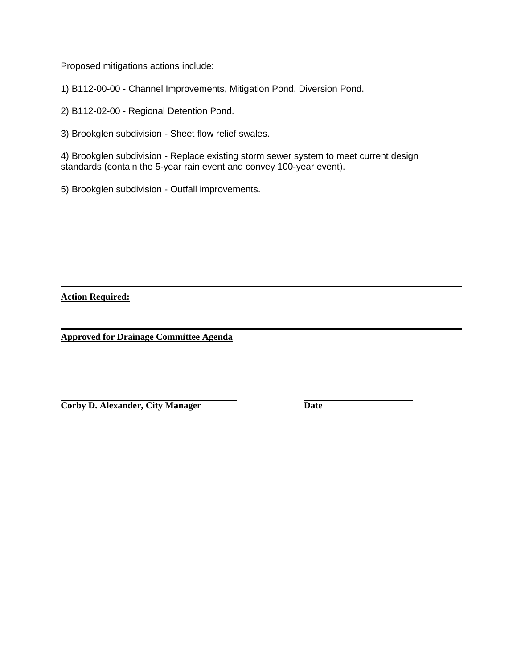Proposed mitigations actions include:

1) B112-00-00 - Channel Improvements, Mitigation Pond, Diversion Pond.

2) B112-02-00 - Regional Detention Pond.

3) Brookglen subdivision - Sheet flow relief swales.

4) Brookglen subdivision - Replace existing storm sewer system to meet current design standards (contain the 5-year rain event and convey 100-year event).

5) Brookglen subdivision - Outfall improvements.

**Action Required:**

**Approved for Drainage Committee Agenda**